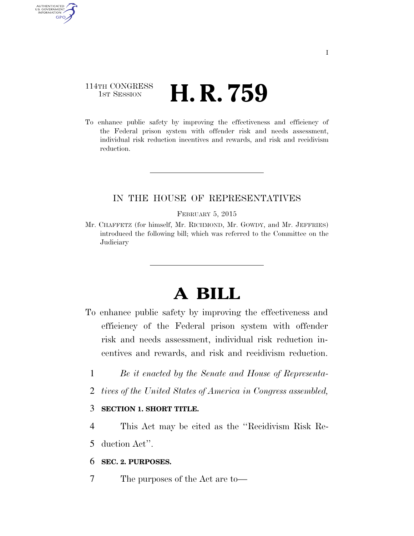# 114TH CONGRESS **1st Session H. R. 759**

AUTHENTICATED U.S. GOVERNMENT GPO

> To enhance public safety by improving the effectiveness and efficiency of the Federal prison system with offender risk and needs assessment, individual risk reduction incentives and rewards, and risk and recidivism reduction.

## IN THE HOUSE OF REPRESENTATIVES

FEBRUARY 5, 2015

Mr. CHAFFETZ (for himself, Mr. RICHMOND, Mr. GOWDY, and Mr. JEFFRIES) introduced the following bill; which was referred to the Committee on the Judiciary

# **A BILL**

- To enhance public safety by improving the effectiveness and efficiency of the Federal prison system with offender risk and needs assessment, individual risk reduction incentives and rewards, and risk and recidivism reduction.
	- 1 *Be it enacted by the Senate and House of Representa-*
	- 2 *tives of the United States of America in Congress assembled,*

#### 3 **SECTION 1. SHORT TITLE.**

- 4 This Act may be cited as the ''Recidivism Risk Re-
- 5 duction Act''.

### 6 **SEC. 2. PURPOSES.**

7 The purposes of the Act are to—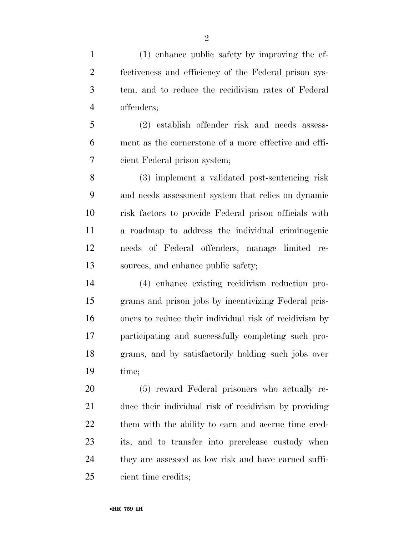(1) enhance public safety by improving the ef- fectiveness and efficiency of the Federal prison sys- tem, and to reduce the recidivism rates of Federal offenders;

 (2) establish offender risk and needs assess- ment as the cornerstone of a more effective and effi-cient Federal prison system;

 (3) implement a validated post-sentencing risk and needs assessment system that relies on dynamic risk factors to provide Federal prison officials with a roadmap to address the individual criminogenic needs of Federal offenders, manage limited re-sources, and enhance public safety;

 (4) enhance existing recidivism reduction pro- grams and prison jobs by incentivizing Federal pris- oners to reduce their individual risk of recidivism by participating and successfully completing such pro- grams, and by satisfactorily holding such jobs over time;

 (5) reward Federal prisoners who actually re- duce their individual risk of recidivism by providing 22 them with the ability to earn and accrue time cred- its, and to transfer into prerelease custody when they are assessed as low risk and have earned suffi-cient time credits;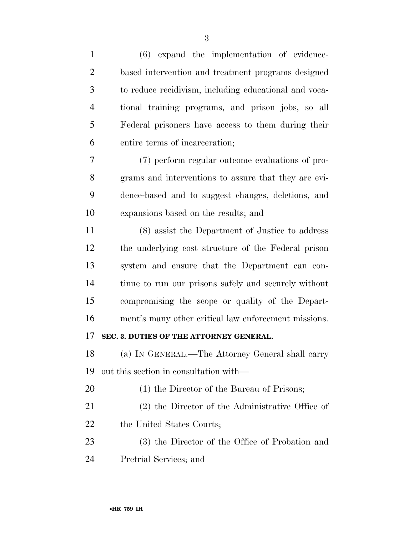| $\mathbf{1}$   | $(6)$ expand the implementation of evidence-          |
|----------------|-------------------------------------------------------|
| $\overline{2}$ | based intervention and treatment programs designed    |
| 3              | to reduce recidivism, including educational and voca- |
| $\overline{4}$ | tional training programs, and prison jobs, so all     |
| 5              | Federal prisoners have access to them during their    |
| 6              | entire terms of incarceration;                        |
| 7              | (7) perform regular outcome evaluations of pro-       |
| 8              | grams and interventions to assure that they are evi-  |
| 9              | dence-based and to suggest changes, deletions, and    |
| 10             | expansions based on the results; and                  |
| 11             | (8) assist the Department of Justice to address       |
| 12             | the underlying cost structure of the Federal prison   |
| 13             | system and ensure that the Department can con-        |
| 14             | tinue to run our prisons safely and securely without  |
| 15             | compromising the scope or quality of the Depart-      |
| 16             | ment's many other critical law enforcement missions.  |
| 17             | SEC. 3. DUTIES OF THE ATTORNEY GENERAL.               |
| 18             | (a) IN GENERAL.—The Attorney General shall carry      |
| 19             | out this section in consultation with—                |
| 20             | (1) the Director of the Bureau of Prisons;            |
| 21             | (2) the Director of the Administrative Office of      |
| 22             | the United States Courts;                             |
| 23             | (3) the Director of the Office of Probation and       |
| 24             | Pretrial Services; and                                |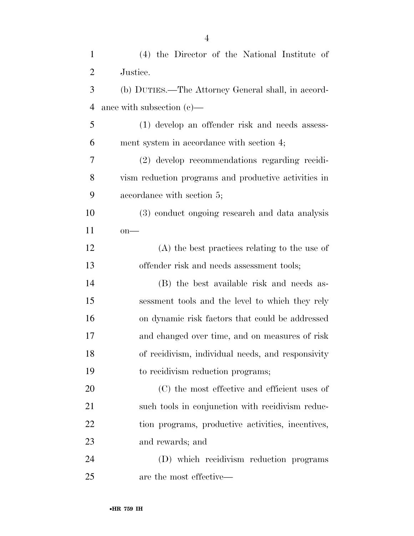| $\mathbf{1}$   | (4) the Director of the National Institute of        |
|----------------|------------------------------------------------------|
| $\overline{2}$ | Justice.                                             |
| 3              | (b) DUTIES.—The Attorney General shall, in accord-   |
| $\overline{4}$ | ance with subsection $(c)$ —                         |
| 5              | (1) develop an offender risk and needs assess-       |
| 6              | ment system in accordance with section 4;            |
| 7              | (2) develop recommendations regarding recidi-        |
| 8              | vism reduction programs and productive activities in |
| 9              | accordance with section 5;                           |
| 10             | (3) conduct ongoing research and data analysis       |
| 11             | $on$ —                                               |
| 12             | $(A)$ the best practices relating to the use of      |
| 13             | offender risk and needs assessment tools;            |
| 14             | (B) the best available risk and needs as-            |
| 15             | sessment tools and the level to which they rely      |
| 16             | on dynamic risk factors that could be addressed      |
| 17             | and changed over time, and on measures of risk       |
| 18             | of recidivism, individual needs, and responsivity    |
| 19             | to recidivism reduction programs;                    |
| 20             | (C) the most effective and efficient uses of         |
| 21             | such tools in conjunction with recidivism reduc-     |
| 22             | tion programs, productive activities, incentives,    |
| 23             | and rewards; and                                     |
| 24             | (D) which recidivism reduction programs              |
| 25             | are the most effective—                              |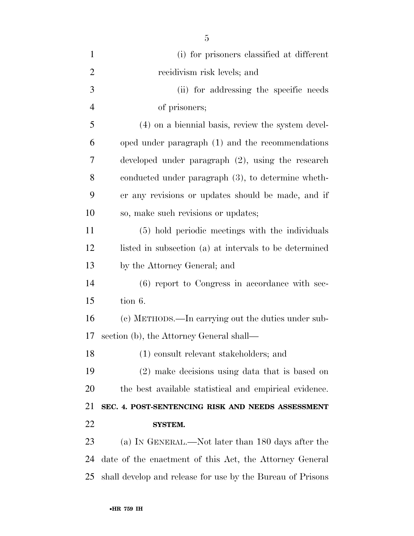| $\mathbf{1}$   | (i) for prisoners classified at different                  |
|----------------|------------------------------------------------------------|
| $\overline{2}$ | recidivism risk levels; and                                |
| 3              | (ii) for addressing the specific needs                     |
| $\overline{4}$ | of prisoners;                                              |
| 5              | (4) on a biennial basis, review the system devel-          |
| 6              | oped under paragraph (1) and the recommendations           |
| 7              | developed under paragraph $(2)$ , using the research       |
| 8              | conducted under paragraph (3), to determine wheth-         |
| 9              | er any revisions or updates should be made, and if         |
| 10             | so, make such revisions or updates;                        |
| 11             | (5) hold periodic meetings with the individuals            |
| 12             | listed in subsection (a) at intervals to be determined     |
| 13             | by the Attorney General; and                               |
| 14             | (6) report to Congress in accordance with sec-             |
| 15             | tion 6.                                                    |
| 16             | (c) METHODS.—In carrying out the duties under sub-         |
| 17             | section (b), the Attorney General shall—                   |
| 18             | (1) consult relevant stakeholders; and                     |
| 19             | (2) make decisions using data that is based on             |
| 20             | the best available statistical and empirical evidence.     |
| 21             | SEC. 4. POST-SENTENCING RISK AND NEEDS ASSESSMENT          |
| 22             | <b>SYSTEM.</b>                                             |
| 23             | (a) IN GENERAL.—Not later than 180 days after the          |
| 24             | date of the enactment of this Act, the Attorney General    |
| 25             | shall develop and release for use by the Bureau of Prisons |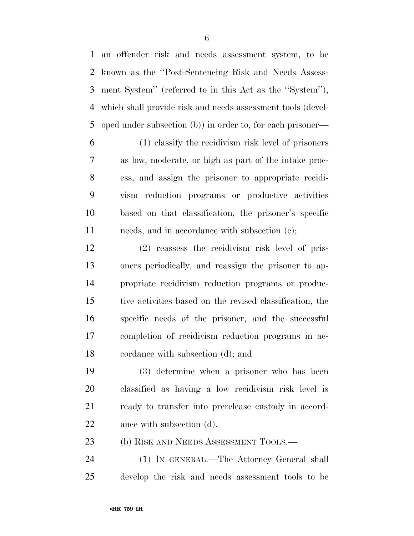an offender risk and needs assessment system, to be known as the ''Post-Sentencing Risk and Needs Assess- ment System'' (referred to in this Act as the ''System''), which shall provide risk and needs assessment tools (devel-oped under subsection (b)) in order to, for each prisoner—

 (1) classify the recidivism risk level of prisoners as low, moderate, or high as part of the intake proc- ess, and assign the prisoner to appropriate recidi- vism reduction programs or productive activities based on that classification, the prisoner's specific 11 needs, and in accordance with subsection (c);

 (2) reassess the recidivism risk level of pris- oners periodically, and reassign the prisoner to ap- propriate recidivism reduction programs or produc- tive activities based on the revised classification, the specific needs of the prisoner, and the successful completion of recidivism reduction programs in ac-cordance with subsection (d); and

 (3) determine when a prisoner who has been classified as having a low recidivism risk level is ready to transfer into prerelease custody in accord-22 ance with subsection (d).

23 (b) RISK AND NEEDS ASSESSMENT TOOLS.—

 (1) IN GENERAL.—The Attorney General shall develop the risk and needs assessment tools to be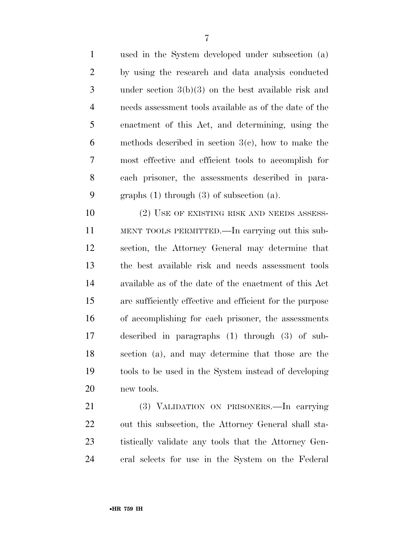used in the System developed under subsection (a) by using the research and data analysis conducted under section 3(b)(3) on the best available risk and needs assessment tools available as of the date of the enactment of this Act, and determining, using the methods described in section 3(c), how to make the most effective and efficient tools to accomplish for each prisoner, the assessments described in para-graphs (1) through (3) of subsection (a).

10 (2) USE OF EXISTING RISK AND NEEDS ASSESS- MENT TOOLS PERMITTED.—In carrying out this sub- section, the Attorney General may determine that the best available risk and needs assessment tools available as of the date of the enactment of this Act are sufficiently effective and efficient for the purpose of accomplishing for each prisoner, the assessments described in paragraphs (1) through (3) of sub- section (a), and may determine that those are the tools to be used in the System instead of developing new tools.

 (3) VALIDATION ON PRISONERS.—In carrying out this subsection, the Attorney General shall sta- tistically validate any tools that the Attorney Gen-eral selects for use in the System on the Federal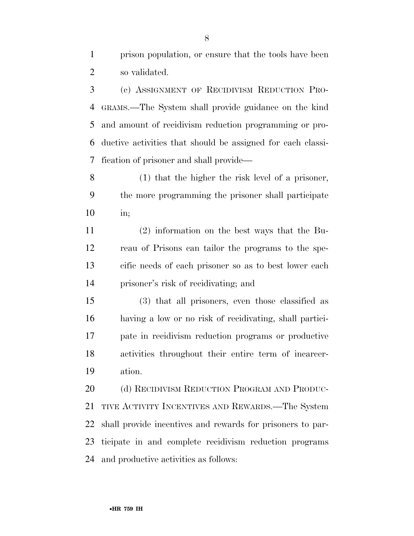prison population, or ensure that the tools have been so validated.

 (c) ASSIGNMENT OF RECIDIVISM REDUCTION PRO- GRAMS.—The System shall provide guidance on the kind and amount of recidivism reduction programming or pro- ductive activities that should be assigned for each classi-fication of prisoner and shall provide—

 (1) that the higher the risk level of a prisoner, the more programming the prisoner shall participate in;

 (2) information on the best ways that the Bu- reau of Prisons can tailor the programs to the spe- cific needs of each prisoner so as to best lower each prisoner's risk of recidivating; and

 (3) that all prisoners, even those classified as having a low or no risk of recidivating, shall partici- pate in recidivism reduction programs or productive activities throughout their entire term of incarcer-ation.

20 (d) RECIDIVISM REDUCTION PROGRAM AND PRODUC- TIVE ACTIVITY INCENTIVES AND REWARDS.—The System shall provide incentives and rewards for prisoners to par- ticipate in and complete recidivism reduction programs and productive activities as follows: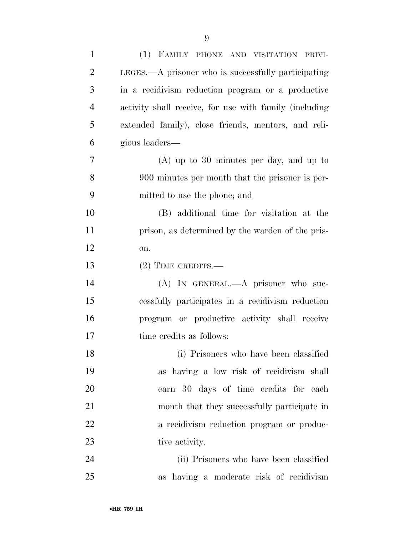| $\mathbf{1}$   | (1) FAMILY PHONE AND VISITATION PRIVI-                 |
|----------------|--------------------------------------------------------|
| $\overline{2}$ | LEGES.—A prisoner who is successfully participating    |
| 3              | in a recidivism reduction program or a productive      |
| $\overline{4}$ | activity shall receive, for use with family (including |
| 5              | extended family), close friends, mentors, and reli-    |
| 6              | gious leaders—                                         |
| 7              | $(A)$ up to 30 minutes per day, and up to              |
| 8              | 900 minutes per month that the prisoner is per-        |
| 9              | mitted to use the phone; and                           |
| 10             | (B) additional time for visitation at the              |
| 11             | prison, as determined by the warden of the pris-       |
| 12             | on.                                                    |
| 13             | $(2)$ TIME CREDITS.—                                   |
| 14             | (A) IN GENERAL.—A prisoner who suc-                    |
| 15             | essfully participates in a recidivism reduction        |
| 16             | program or productive activity shall receive           |
| 17             | time credits as follows:                               |
| 18             | (i) Prisoners who have been classified                 |
| 19             | as having a low risk of recidivism shall               |
| 20             | earn 30 days of time credits for each                  |
| 21             | month that they successfully participate in            |
| 22             | a recidivism reduction program or produc-              |
| 23             | tive activity.                                         |
| 24             | (ii) Prisoners who have been classified                |
| 25             | as having a moderate risk of recidivism                |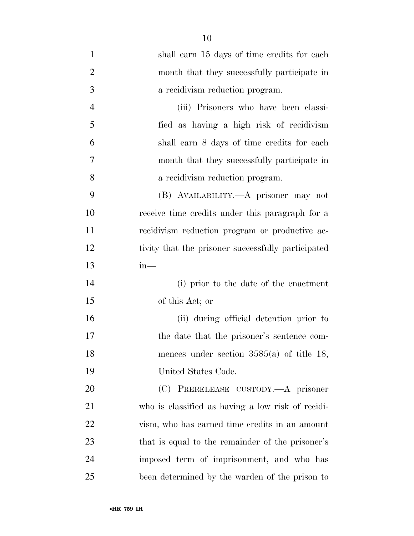| $\mathbf{1}$   | shall earn 15 days of time credits for each        |
|----------------|----------------------------------------------------|
| $\overline{2}$ | month that they successfully participate in        |
| 3              | a recidivism reduction program.                    |
| $\overline{4}$ | (iii) Prisoners who have been classi-              |
| 5              | fied as having a high risk of recidivism           |
| 6              | shall earn 8 days of time credits for each         |
| 7              | month that they successfully participate in        |
| 8              | a recidivism reduction program.                    |
| 9              | (B) AVAILABILITY.—A prisoner may not               |
| 10             | receive time credits under this paragraph for a    |
| 11             | recidivism reduction program or productive ac-     |
| 12             | tivity that the prisoner successfully participated |
| 13             | $in-$                                              |
| 14             | (i) prior to the date of the enactment             |
| 15             | of this Act; or                                    |
| 16             | (ii) during official detention prior to            |
| 17             | the date that the prisoner's sentence com-         |
| 18             | mences under section $3585(a)$ of title 18,        |
| 19             | United States Code.                                |
| 20             | (C) PRERELEASE CUSTODY.—A prisoner                 |
| 21             | who is classified as having a low risk of recidi-  |
| 22             | vism, who has earned time credits in an amount     |
| 23             | that is equal to the remainder of the prisoner's   |
| 24             | imposed term of imprisonment, and who has          |
| 25             | been determined by the warden of the prison to     |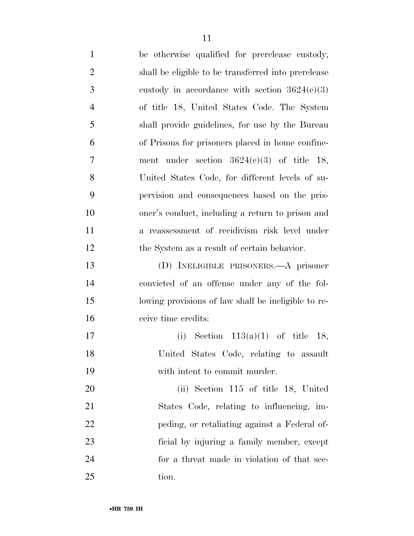be otherwise qualified for prerelease custody, shall be eligible to be transferred into prerelease 3 custody in accordance with section  $3624(c)(3)$  of title 18, United States Code. The System shall provide guidelines, for use by the Bureau of Prisons for prisoners placed in home confine- ment under section 3624(c)(3) of title 18, United States Code, for different levels of su- pervision and consequences based on the pris- oner's conduct, including a return to prison and a reassessment of recidivism risk level under the System as a result of certain behavior. (D) INELIGIBLE PRISONERS.—A prisoner convicted of an offense under any of the fol- lowing provisions of law shall be ineligible to re- ceive time credits: (i) Section 113(a)(1) of title 18, United States Code, relating to assault with intent to commit murder. (ii) Section 115 of title 18, United States Code, relating to influencing, im- peding, or retaliating against a Federal of- ficial by injuring a family member, except for a threat made in violation of that sec-

•**HR 759 IH**

25 tion.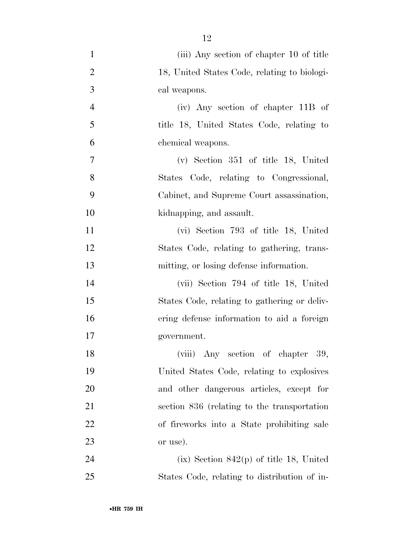(iii) Any section of chapter 10 of title 18, United States Code, relating to biologi- cal weapons. (iv) Any section of chapter 11B of title 18, United States Code, relating to chemical weapons. (v) Section 351 of title 18, United States Code, relating to Congressional, Cabinet, and Supreme Court assassination, kidnapping, and assault. (vi) Section 793 of title 18, United States Code, relating to gathering, trans- mitting, or losing defense information. (vii) Section 794 of title 18, United States Code, relating to gathering or deliv- ering defense information to aid a foreign government. 18 (viii) Any section of chapter 39, United States Code, relating to explosives and other dangerous articles, except for section 836 (relating to the transportation of fireworks into a State prohibiting sale or use). (ix) Section 842(p) of title 18, United States Code, relating to distribution of in-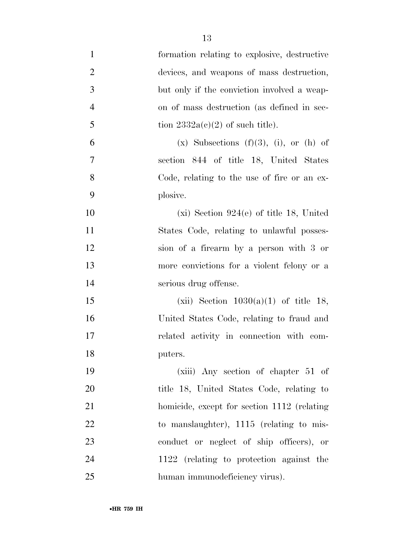| $\mathbf{1}$     | formation relating to explosive, destructive     |
|------------------|--------------------------------------------------|
| $\overline{2}$   | devices, and weapons of mass destruction,        |
| $\mathfrak{Z}$   | but only if the conviction involved a weap-      |
| $\overline{4}$   | on of mass destruction (as defined in sec-       |
| 5                | tion $2332a(c)(2)$ of such title).               |
| 6                | $(x)$ Subsections $(f)(3)$ , $(i)$ , or $(h)$ of |
| $\boldsymbol{7}$ | section 844 of title 18, United States           |
| 8                | Code, relating to the use of fire or an ex-      |
| 9                | plosive.                                         |
| 10               | $(xi)$ Section 924(e) of title 18, United        |
| 11               | States Code, relating to unlawful posses-        |
| 12               | sion of a firearm by a person with 3 or          |
| 13               | more convictions for a violent felony or a       |
| 14               | serious drug offense.                            |
| 15               | (xii) Section $1030(a)(1)$ of title 18,          |
| 16               | United States Code, relating to fraud and        |
| 17               | related activity in connection with com-         |
| 18               | puters.                                          |
| 19               | (xiii) Any section of chapter 51 of              |
| 20               | title 18, United States Code, relating to        |
| 21               | homicide, except for section 1112 (relating      |
| 22               | to manslaughter), 1115 (relating to mis-         |
| 23               | conduct or neglect of ship officers), or         |
| 24               | 1122 (relating to protection against the         |
| 25               | human immunodeficiency virus).                   |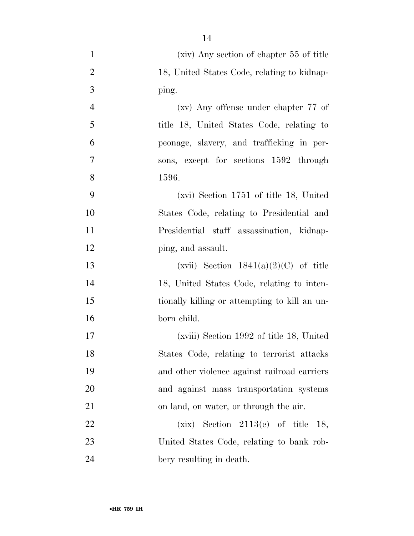- (xiv) Any section of chapter 55 of title 2 18, United States Code, relating to kidnap- ping. (xv) Any offense under chapter 77 of title 18, United States Code, relating to peonage, slavery, and trafficking in per- sons, except for sections 1592 through 1596. (xvi) Section 1751 of title 18, United States Code, relating to Presidential and Presidential staff assassination, kidnap-12 ping, and assault. 13 (xvii) Section  $1841(a)(2)(C)$  of title 18, United States Code, relating to inten- tionally killing or attempting to kill an un- born child. (xviii) Section 1992 of title 18, United States Code, relating to terrorist attacks and other violence against railroad carriers and against mass transportation systems on land, on water, or through the air. 22  $(xix)$  Section 2113(e) of title 18,
- United States Code, relating to bank rob-bery resulting in death.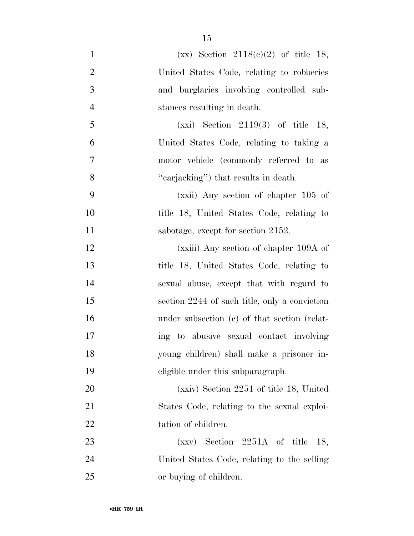- 1  $(xx)$  Section 2118(c)(2) of title 18, United States Code, relating to robberies and burglaries involving controlled sub- stances resulting in death. (xxi) Section 2119(3) of title 18, United States Code, relating to taking a motor vehicle (commonly referred to as ''carjacking'') that results in death. (xxii) Any section of chapter 105 of title 18, United States Code, relating to 11 sabotage, except for section 2152. (xxiii) Any section of chapter 109A of title 18, United States Code, relating to sexual abuse, except that with regard to section 2244 of such title, only a conviction under subsection (c) of that section (relat- ing to abusive sexual contact involving young children) shall make a prisoner in- eligible under this subparagraph. (xxiv) Section 2251 of title 18, United States Code, relating to the sexual exploi-22 tation of children. (xxv) Section 2251A of title 18, United States Code, relating to the selling
- or buying of children.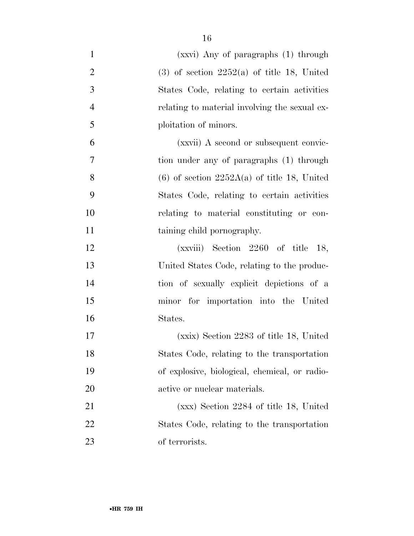| $\mathbf{1}$   | (xxvi) Any of paragraphs (1) through          |
|----------------|-----------------------------------------------|
| $\overline{2}$ | $(3)$ of section 2252(a) of title 18, United  |
| $\mathfrak{Z}$ | States Code, relating to certain activities   |
| $\overline{4}$ | relating to material involving the sexual ex- |
| 5              | ploitation of minors.                         |
| 6              | (xxvii) A second or subsequent convic-        |
| 7              | tion under any of paragraphs (1) through      |
| 8              | $(6)$ of section 2252A(a) of title 18, United |
| 9              | States Code, relating to certain activities   |
| 10             | relating to material constituting or con-     |
| 11             | taining child pornography.                    |
| 12             | $(xxviii)$ Section 2260 of title 18,          |
| 13             | United States Code, relating to the produc-   |
| 14             | tion of sexually explicit depictions of a     |
| 15             | minor for importation into the United         |
| 16             | States.                                       |
| 17             | (xxix) Section 2283 of title 18, United       |
| 18             | States Code, relating to the transportation   |
| 19             | of explosive, biological, chemical, or radio- |
| 20             | active or nuclear materials.                  |
| 21             | $(xxx)$ Section 2284 of title 18, United      |
| 22             | States Code, relating to the transportation   |
| 23             | of terrorists.                                |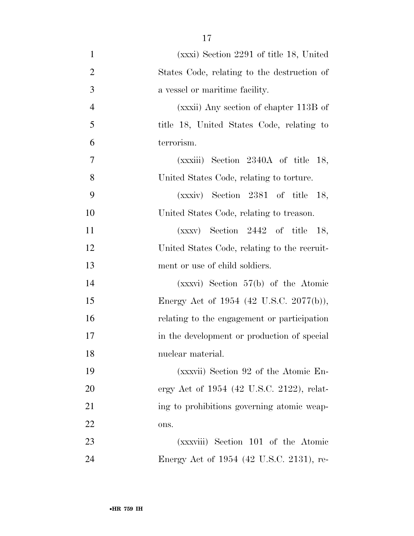(xxxi) Section 2291 of title 18, United States Code, relating to the destruction of a vessel or maritime facility. (xxxii) Any section of chapter 113B of title 18, United States Code, relating to terrorism. (xxxiii) Section 2340A of title 18, United States Code, relating to torture. (xxxiv) Section 2381 of title 18, United States Code, relating to treason. (xxxv) Section 2442 of title 18, United States Code, relating to the recruit- ment or use of child soldiers. (xxxvi) Section 57(b) of the Atomic 15 Energy Act of 1954 (42 U.S.C. 2077(b)), relating to the engagement or participation in the development or production of special nuclear material. (xxxvii) Section 92 of the Atomic En-20 ergy Act of 1954 (42 U.S.C. 2122), relat-21 ing to prohibitions governing atomic weap- ons. (xxxviii) Section 101 of the Atomic Energy Act of 1954 (42 U.S.C. 2131), re-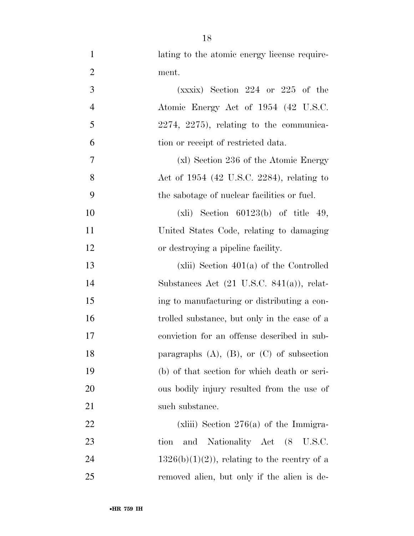1 lating to the atomic energy license require- ment. (xxxix) Section 224 or 225 of the **Atomic Energy Act of 1954 (42 U.S.C.**) 2274, 2275), relating to the communica- tion or receipt of restricted data. (xl) Section 236 of the Atomic Energy Act of 1954 (42 U.S.C. 2284), relating to the sabotage of nuclear facilities or fuel. (xli) Section 60123(b) of title 49, United States Code, relating to damaging or destroying a pipeline facility. (xlii) Section 401(a) of the Controlled Substances Act (21 U.S.C. 841(a)), relat- ing to manufacturing or distributing a con- trolled substance, but only in the case of a conviction for an offense described in sub-18 paragraphs (A), (B), or (C) of subsection (b) of that section for which death or seri- ous bodily injury resulted from the use of 21 such substance. 22 (xliii) Section 276(a) of the Immigra-tion and Nationality Act (8 U.S.C.

24 1326(b)(1)(2)), relating to the reentry of a removed alien, but only if the alien is de-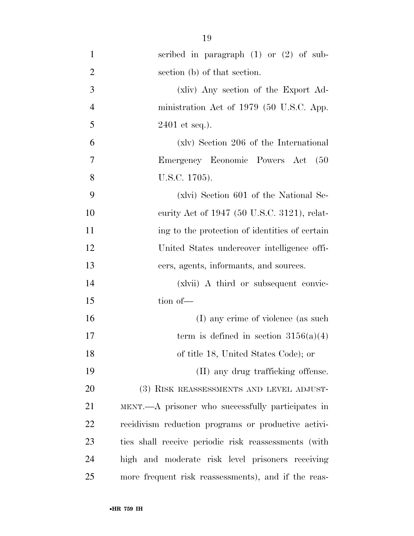| $\mathbf{1}$   | scribed in paragraph $(1)$ or $(2)$ of sub-          |
|----------------|------------------------------------------------------|
| $\overline{2}$ | section (b) of that section.                         |
| 3              | (xliv) Any section of the Export Ad-                 |
| $\overline{4}$ | ministration Act of 1979 (50 U.S.C. App.             |
| 5              | $2401$ et seq.).                                     |
| 6              | (xlv) Section 206 of the International               |
| 7              | Emergency Economic Powers Act<br>(50)                |
| 8              | U.S.C. 1705).                                        |
| 9              | (xlvi) Section 601 of the National Se-               |
| 10             | curity Act of 1947 (50 U.S.C. 3121), relat-          |
| 11             | ing to the protection of identities of certain       |
| 12             | United States undercover intelligence offi-          |
| 13             | cers, agents, informants, and sources.               |
| 14             | (xlvii) A third or subsequent convic-                |
| 15             | tion of-                                             |
| 16             | (I) any crime of violence (as such                   |
| 17             | term is defined in section $3156(a)(4)$              |
| 18             | of title 18, United States Code); or                 |
| 19             | (II) any drug trafficking offense.                   |
| 20             | (3) RISK REASSESSMENTS AND LEVEL ADJUST-             |
| 21             | MENT.—A prisoner who successfully participates in    |
| 22             | recidivism reduction programs or productive activi-  |
| 23             | ties shall receive periodic risk reassessments (with |
| 24             | high and moderate risk level prisoners receiving     |
| 25             | more frequent risk reassessments), and if the reas-  |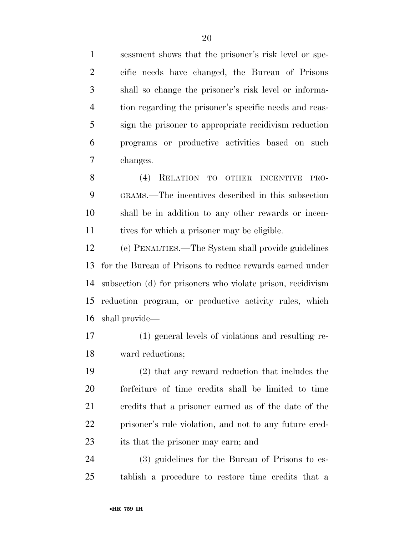sessment shows that the prisoner's risk level or spe- cific needs have changed, the Bureau of Prisons shall so change the prisoner's risk level or informa- tion regarding the prisoner's specific needs and reas- sign the prisoner to appropriate recidivism reduction programs or productive activities based on such changes.

 (4) RELATION TO OTHER INCENTIVE PRO- GRAMS.—The incentives described in this subsection shall be in addition to any other rewards or incen-tives for which a prisoner may be eligible.

 (e) PENALTIES.—The System shall provide guidelines for the Bureau of Prisons to reduce rewards earned under subsection (d) for prisoners who violate prison, recidivism reduction program, or productive activity rules, which shall provide—

 (1) general levels of violations and resulting re-ward reductions;

 (2) that any reward reduction that includes the forfeiture of time credits shall be limited to time credits that a prisoner earned as of the date of the prisoner's rule violation, and not to any future cred-23 its that the prisoner may earn; and

 (3) guidelines for the Bureau of Prisons to es-tablish a procedure to restore time credits that a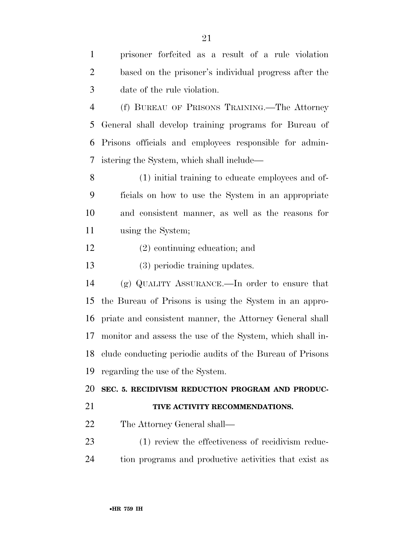| $\mathbf{1}$   | prisoner forfeited as a result of a rule violation        |
|----------------|-----------------------------------------------------------|
| $\overline{2}$ | based on the prisoner's individual progress after the     |
| 3              | date of the rule violation.                               |
| $\overline{4}$ | (f) BUREAU OF PRISONS TRAINING.—The Attorney              |
| 5              | General shall develop training programs for Bureau of     |
| 6              | Prisons officials and employees responsible for admin-    |
| 7              | istering the System, which shall include—                 |
| 8              | (1) initial training to educate employees and of-         |
| 9              | ficials on how to use the System in an appropriate        |
| 10             | and consistent manner, as well as the reasons for         |
| 11             | using the System;                                         |
| 12             | $(2)$ continuing education; and                           |
| 13             | (3) periodic training updates.                            |
| 14             | (g) QUALITY ASSURANCE.—In order to ensure that            |
| 15             | the Bureau of Prisons is using the System in an appro-    |
| 16             | priate and consistent manner, the Attorney General shall  |
| 17             | monitor and assess the use of the System, which shall in- |
| 18             | clude conducting periodic audits of the Bureau of Prisons |
| 19             | regarding the use of the System.                          |
| 20             | SEC. 5. RECIDIVISM REDUCTION PROGRAM AND PRODUC-          |
| 21             | TIVE ACTIVITY RECOMMENDATIONS.                            |
| 22             | The Attorney General shall—                               |
| 23             | (1) review the effectiveness of recidivism reduc-         |
| 24             | tion programs and productive activities that exist as     |
|                |                                                           |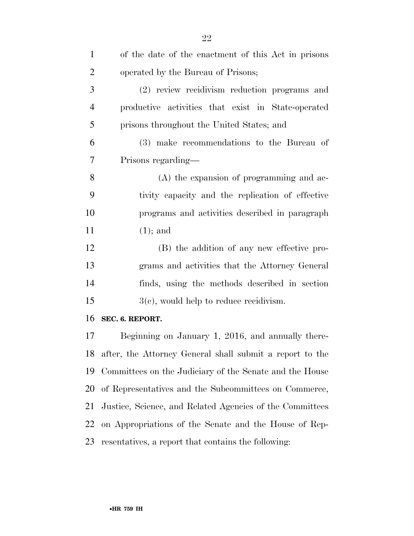| $\mathbf{1}$   | of the date of the enactment of this Act in prisons         |
|----------------|-------------------------------------------------------------|
| $\overline{2}$ | operated by the Bureau of Prisons;                          |
| 3              | (2) review recidivism reduction programs and                |
| $\overline{4}$ | productive activities that exist in State-operated          |
| 5              | prisons throughout the United States; and                   |
| 6              | (3) make recommendations to the Bureau of                   |
| 7              | Prisons regarding—                                          |
| 8              | $(A)$ the expansion of programming and ac-                  |
| 9              | tivity capacity and the replication of effective            |
| 10             | programs and activities described in paragraph              |
| 11             | $(1)$ ; and                                                 |
| 12             | (B) the addition of any new effective pro-                  |
| 13             | grams and activities that the Attorney General              |
| 14             | finds, using the methods described in section               |
| 15             | $3(c)$ , would help to reduce recidivism.                   |
| 16             | SEC. 6. REPORT.                                             |
| 17             | Beginning on January 1, 2016, and annually there-           |
|                | 18 after, the Attorney General shall submit a report to the |
| 19             | Committees on the Judiciary of the Senate and the House     |
| 20             | of Representatives and the Subcommittees on Commerce,       |
| 21             | Justice, Science, and Related Agencies of the Committees    |
| 22             | on Appropriations of the Senate and the House of Rep-       |
| 23             | resentatives, a report that contains the following:         |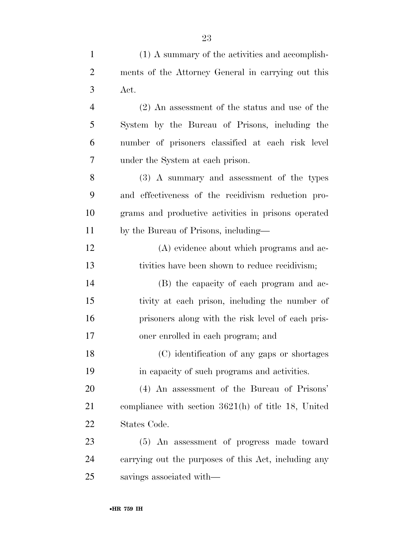| $\mathbf{1}$   | (1) A summary of the activities and accomplish-       |
|----------------|-------------------------------------------------------|
| $\overline{2}$ | ments of the Attorney General in carrying out this    |
| 3              | Act.                                                  |
| 4              | $(2)$ An assessment of the status and use of the      |
| 5              | System by the Bureau of Prisons, including the        |
| 6              | number of prisoners classified at each risk level     |
| 7              | under the System at each prison.                      |
| 8              | (3) A summary and assessment of the types             |
| 9              | and effectiveness of the recidivism reduction pro-    |
| 10             | grams and productive activities in prisons operated   |
| 11             | by the Bureau of Prisons, including—                  |
| 12             | (A) evidence about which programs and ac-             |
| 13             | tivities have been shown to reduce recidivism;        |
| 14             | (B) the capacity of each program and ac-              |
| 15             | tivity at each prison, including the number of        |
| 16             | prisoners along with the risk level of each pris-     |
| 17             | oner enrolled in each program; and                    |
| 18             | (C) identification of any gaps or shortages           |
| 19             | in capacity of such programs and activities.          |
| 20             | (4) An assessment of the Bureau of Prisons'           |
| 21             | compliance with section $3621(h)$ of title 18, United |
| 22             | States Code.                                          |
| 23             | (5) An assessment of progress made toward             |
| 24             | carrying out the purposes of this Act, including any  |
| 25             | savings associated with—                              |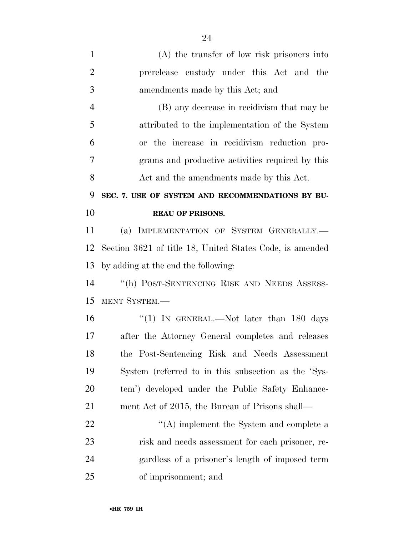| $\mathbf{1}$   | $(A)$ the transfer of low risk prisoners into                |
|----------------|--------------------------------------------------------------|
| $\overline{2}$ | prerelease custody under this Act and the                    |
| 3              | amendments made by this Act; and                             |
| $\overline{4}$ | (B) any decrease in recidivism that may be                   |
| 5              | attributed to the implementation of the System               |
| 6              | or the increase in recidivism reduction pro-                 |
| 7              | grams and productive activities required by this             |
| 8              | Act and the amendments made by this Act.                     |
| 9              | SEC. 7. USE OF SYSTEM AND RECOMMENDATIONS BY BU-             |
| 10             | <b>REAU OF PRISONS.</b>                                      |
| 11             | (a) IMPLEMENTATION OF SYSTEM GENERALLY.                      |
| 12             | Section 3621 of title 18, United States Code, is amended     |
| 13             | by adding at the end the following:                          |
| 14             | "(h) POST-SENTENCING RISK AND NEEDS ASSESS-                  |
| 15             | MENT SYSTEM.-                                                |
| 16             | "(1) IN GENERAL.—Not later than 180 days                     |
| 17             | after the Attorney General completes and releases            |
| 18             | the Post-Sentencing Risk and Needs Assessment                |
| 19             | System (referred to in this subsection as the 'Sys-          |
| 20             | tem') developed under the Public Safety Enhance-             |
| 21             | ment Act of 2015, the Bureau of Prisons shall—               |
| 22             | $\cdot$ <sup>"</sup> (A) implement the System and complete a |
| 23             | risk and needs assessment for each prisoner, re-             |
| 24             | gardless of a prisoner's length of imposed term              |
| 25             | of imprisonment; and                                         |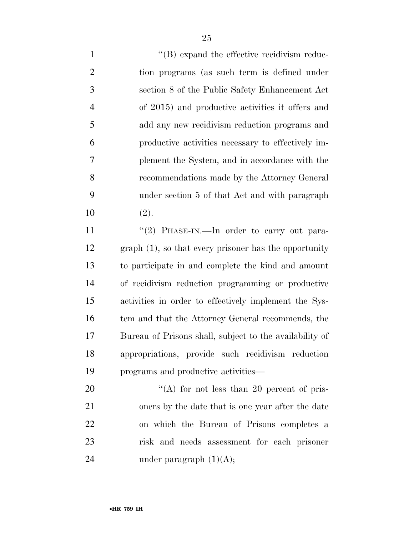$\langle$  (B) expand the effective recidivism reduc- tion programs (as such term is defined under section 8 of the Public Safety Enhancement Act of 2015) and productive activities it offers and add any new recidivism reduction programs and productive activities necessary to effectively im- plement the System, and in accordance with the recommendations made by the Attorney General under section 5 of that Act and with paragraph (2).

11 "(2) PHASE-IN.—In order to carry out para- graph (1), so that every prisoner has the opportunity to participate in and complete the kind and amount of recidivism reduction programming or productive activities in order to effectively implement the Sys-16 tem and that the Attorney General recommends, the Bureau of Prisons shall, subject to the availability of appropriations, provide such recidivism reduction programs and productive activities—

 $\frac{1}{20}$  (A) for not less than 20 percent of pris- oners by the date that is one year after the date on which the Bureau of Prisons completes a risk and needs assessment for each prisoner 24 under paragraph  $(1)(A)$ ;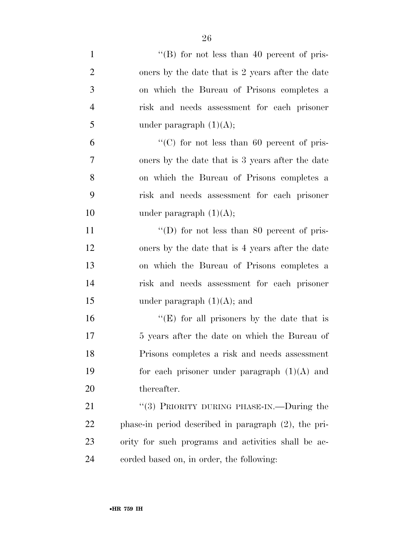| $\mathbf{1}$   | "(B) for not less than 40 percent of pris-              |
|----------------|---------------------------------------------------------|
| $\overline{2}$ | oners by the date that is 2 years after the date        |
| 3              | on which the Bureau of Prisons completes a              |
| $\overline{4}$ | risk and needs assessment for each prisoner             |
| 5              | under paragraph $(1)(A);$                               |
| 6              | "(C) for not less than 60 percent of pris-              |
| 7              | oners by the date that is 3 years after the date        |
| 8              | on which the Bureau of Prisons completes a              |
| 9              | risk and needs assessment for each prisoner             |
| 10             | under paragraph $(1)(A);$                               |
| 11             | "(D) for not less than 80 percent of pris-              |
| 12             | oners by the date that is 4 years after the date        |
| 13             | on which the Bureau of Prisons completes a              |
| 14             | risk and needs assessment for each prisoner             |
| 15             | under paragraph $(1)(A)$ ; and                          |
| 16             | "(E) for all prisoners by the date that is              |
| 17             | 5 years after the date on which the Bureau of           |
| 18             | Prisons completes a risk and needs assessment           |
| 19             | for each prisoner under paragraph $(1)(A)$ and          |
| 20             | thereafter.                                             |
| 21             | "(3) PRIORITY DURING PHASE-IN.—During the               |
| 22             | phase-in period described in paragraph $(2)$ , the pri- |
| 23             | ority for such programs and activities shall be ac-     |
| 24             | corded based on, in order, the following:               |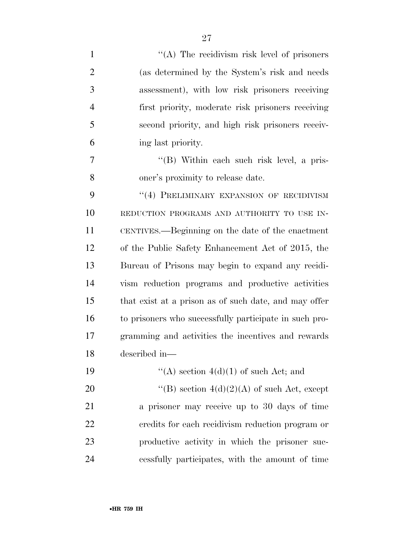| $\mathbf{1}$   | $\lq\lq$ . The recidivism risk level of prisoners      |
|----------------|--------------------------------------------------------|
| $\overline{2}$ | (as determined by the System's risk and needs          |
| 3              | assessment), with low risk prisoners receiving         |
| $\overline{4}$ | first priority, moderate risk prisoners receiving      |
| 5              | second priority, and high risk prisoners receiv-       |
| 6              | ing last priority.                                     |
| 7              | "(B) Within each such risk level, a pris-              |
| 8              | oner's proximity to release date.                      |
| 9              | "(4) PRELIMINARY EXPANSION OF RECIDIVISM               |
| 10             | REDUCTION PROGRAMS AND AUTHORITY TO USE IN-            |
| 11             | CENTIVES.—Beginning on the date of the enactment       |
| 12             | of the Public Safety Enhancement Act of 2015, the      |
| 13             | Bureau of Prisons may begin to expand any recidi-      |
| 14             | vism reduction programs and productive activities      |
| 15             | that exist at a prison as of such date, and may offer  |
| 16             | to prisoners who successfully participate in such pro- |
| 17             | gramming and activities the incentives and rewards     |
| 18             | described in-                                          |
| 19             | "(A) section $4(d)(1)$ of such Act; and                |
| 20             | "(B) section $4(d)(2)(A)$ of such Act, except          |
| 21             | a prisoner may receive up to 30 days of time           |
| 22             | credits for each recidivism reduction program or       |
| 23             | productive activity in which the prisoner suc-         |
| 24             | cessfully participates, with the amount of time        |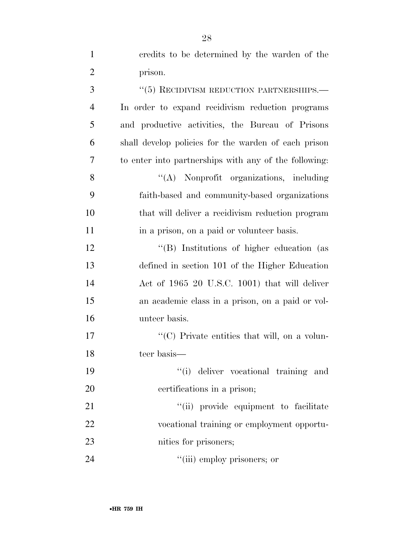| $\overline{2}$ | prison.                                               |
|----------------|-------------------------------------------------------|
| 3              | $\lq\lq(5)$ RECIDIVISM REDUCTION PARTNERSHIPS.—       |
| $\overline{4}$ | In order to expand recidivism reduction programs      |
| 5              | and productive activities, the Bureau of Prisons      |
| 6              | shall develop policies for the warden of each prison  |
| 7              | to enter into partnerships with any of the following: |
| 8              | "(A) Nonprofit organizations, including               |
| 9              | faith-based and community-based organizations         |
| 10             | that will deliver a recidivism reduction program      |
| 11             | in a prison, on a paid or volunteer basis.            |
| 12             | "(B) Institutions of higher education (as             |
| 13             | defined in section 101 of the Higher Education        |
| 14             | Act of 1965 20 U.S.C. 1001) that will deliver         |
| 15             | an academic class in a prison, on a paid or vol-      |
| 16             | unteer basis.                                         |
| 17             | "(C) Private entities that will, on a volun-          |
| 18             | teer basis—                                           |
| 19             | "(i) deliver vocational training and                  |
| 20             | certifications in a prison;                           |
| 21             | "(ii) provide equipment to facilitate                 |
| 22             | vocational training or employment opportu-            |
| 23             | nities for prisoners;                                 |
| 24             | "(iii) employ prisoners; or                           |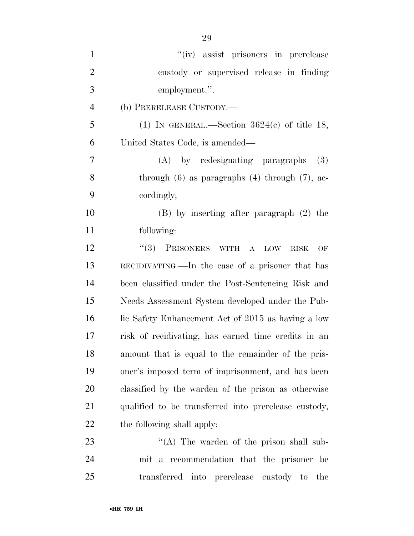| $\mathbf{1}$   | "(iv) assist prisoners in prerelease                         |
|----------------|--------------------------------------------------------------|
| $\overline{2}$ | custody or supervised release in finding                     |
| 3              | employment.".                                                |
| $\overline{4}$ | (b) PRERELEASE CUSTODY.—                                     |
| 5              | (1) IN GENERAL.—Section $3624(c)$ of title 18,               |
| 6              | United States Code, is amended—                              |
| 7              | (A) by redesignating paragraphs<br>(3)                       |
| 8              | through $(6)$ as paragraphs $(4)$ through $(7)$ , ac-        |
| 9              | cordingly;                                                   |
| 10             | $(B)$ by inserting after paragraph $(2)$ the                 |
| 11             | following:                                                   |
| 12             | $(3)$ PrisONERS<br>WITH A<br><b>LOW</b><br><b>RISK</b><br>OF |
| 13             | RECIDIVATING.—In the case of a prisoner that has             |
| 14             | been classified under the Post-Sentencing Risk and           |
| 15             | Needs Assessment System developed under the Pub-             |
| 16             | lic Safety Enhancement Act of 2015 as having a low           |
| 17             | risk of recidivating, has earned time credits in an          |
| 18             | amount that is equal to the remainder of the pris-           |
| 19             | oner's imposed term of imprisonment, and has been            |
| 20             | classified by the warden of the prison as otherwise          |
| 21             | qualified to be transferred into prerelease custody,         |
| 22             | the following shall apply:                                   |
| 23             | "(A) The warden of the prison shall sub-                     |
| 24             | mit a recommendation that the prisoner be                    |
| 25             | transferred into prerelease<br>the<br>custody to             |

•**HR 759 IH**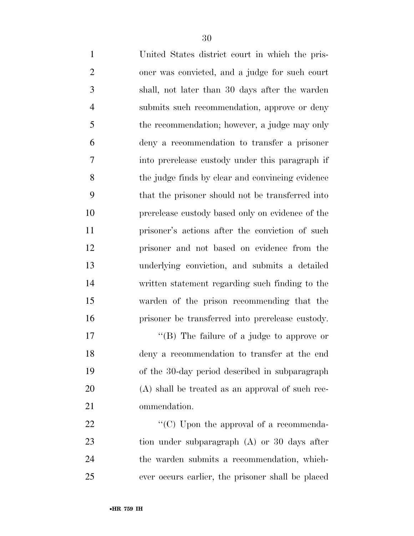| $\mathbf{1}$   | United States district court in which the pris-  |
|----------------|--------------------------------------------------|
| $\mathbf{2}$   | oner was convicted, and a judge for such court   |
| 3              | shall, not later than 30 days after the warden   |
| $\overline{4}$ | submits such recommendation, approve or deny     |
| 5              | the recommendation; however, a judge may only    |
| 6              | deny a recommendation to transfer a prisoner     |
| $\overline{7}$ | into prerelease custody under this paragraph if  |
| 8              | the judge finds by clear and convincing evidence |
| 9              | that the prisoner should not be transferred into |
| 10             | prerelease custody based only on evidence of the |
| 11             | prisoner's actions after the conviction of such  |
| 12             | prisoner and not based on evidence from the      |
| 13             | underlying conviction, and submits a detailed    |
| 14             | written statement regarding such finding to the  |
| 15             | warden of the prison recommending that the       |
| 16             | prisoner be transferred into prerelease custody. |
| 17             | "(B) The failure of a judge to approve or        |
|                |                                                  |

 deny a recommendation to transfer at the end of the 30-day period described in subparagraph (A) shall be treated as an approval of such rec-ommendation.

 $\hspace{1cm}$  "(C) Upon the approval of a recommenda- tion under subparagraph (A) or 30 days after the warden submits a recommendation, which-ever occurs earlier, the prisoner shall be placed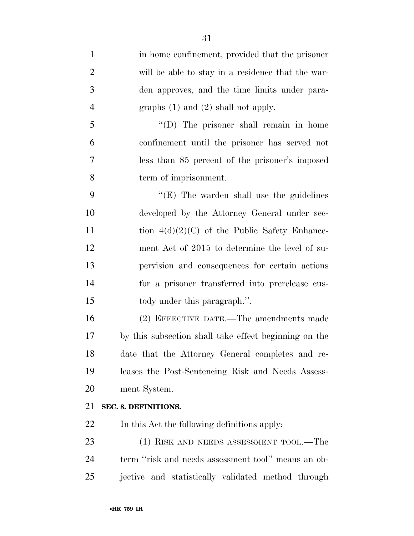in home confinement, provided that the prisoner will be able to stay in a residence that the war- den approves, and the time limits under para-4 graphs (1) and (2) shall not apply. ''(D) The prisoner shall remain in home confinement until the prisoner has served not less than 85 percent of the prisoner's imposed term of imprisonment. 9 "'(E) The warden shall use the guidelines developed by the Attorney General under sec-11 tion  $4(d)(2)(C)$  of the Public Safety Enhance- ment Act of 2015 to determine the level of su- pervision and consequences for certain actions for a prisoner transferred into prerelease cus- tody under this paragraph.''. (2) EFFECTIVE DATE.—The amendments made by this subsection shall take effect beginning on the date that the Attorney General completes and re- leases the Post-Sentencing Risk and Needs Assess- ment System. **SEC. 8. DEFINITIONS.**  In this Act the following definitions apply: 23 (1) RISK AND NEEDS ASSESSMENT TOOL.—The term ''risk and needs assessment tool'' means an ob-jective and statistically validated method through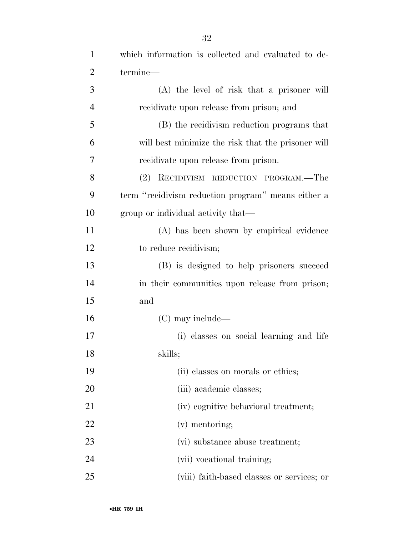| $\mathbf{1}$   | which information is collected and evaluated to de- |
|----------------|-----------------------------------------------------|
| $\overline{2}$ | termine—                                            |
| 3              | (A) the level of risk that a prisoner will          |
| $\overline{4}$ | recidivate upon release from prison; and            |
| 5              | (B) the recidivism reduction programs that          |
| 6              | will best minimize the risk that the prisoner will  |
| 7              | recidivate upon release from prison.                |
| 8              | (2) RECIDIVISM REDUCTION PROGRAM.—The               |
| 9              | term "recidivism reduction program" means either a  |
| 10             | group or individual activity that—                  |
| 11             | (A) has been shown by empirical evidence            |
| 12             | to reduce recidivism;                               |
| 13             | (B) is designed to help prisoners succeed           |
| 14             | in their communities upon release from prison;      |
| 15             | and                                                 |
| 16             | $(C)$ may include—                                  |
| 17             | (i) classes on social learning and life             |
| 18             | skills;                                             |
| 19             | (ii) classes on morals or ethics;                   |
| 20             | (iii) academic classes;                             |
| 21             | (iv) cognitive behavioral treatment;                |
| 22             | $(v)$ mentoring;                                    |
| 23             | (vi) substance abuse treatment;                     |
| 24             | (vii) vocational training;                          |
| 25             | (viii) faith-based classes or services; or          |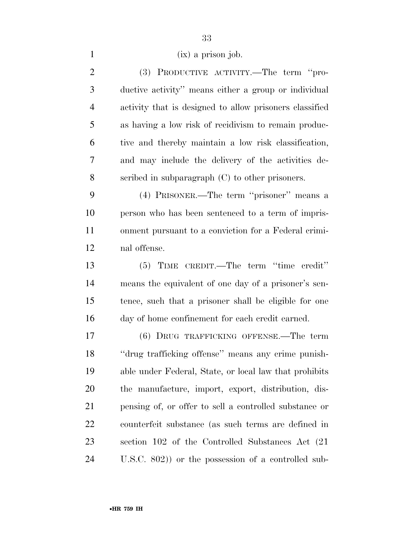(ix) a prison job.

 (3) PRODUCTIVE ACTIVITY.—The term ''pro- ductive activity'' means either a group or individual activity that is designed to allow prisoners classified as having a low risk of recidivism to remain produc- tive and thereby maintain a low risk classification, and may include the delivery of the activities de- scribed in subparagraph (C) to other prisoners. (4) PRISONER.—The term ''prisoner'' means a person who has been sentenced to a term of impris- onment pursuant to a conviction for a Federal crimi- nal offense. (5) TIME CREDIT.—The term ''time credit'' means the equivalent of one day of a prisoner's sen- tence, such that a prisoner shall be eligible for one day of home confinement for each credit earned. (6) DRUG TRAFFICKING OFFENSE.—The term ''drug trafficking offense'' means any crime punish- able under Federal, State, or local law that prohibits the manufacture, import, export, distribution, dis- pensing of, or offer to sell a controlled substance or counterfeit substance (as such terms are defined in section 102 of the Controlled Substances Act (21 U.S.C. 802)) or the possession of a controlled sub